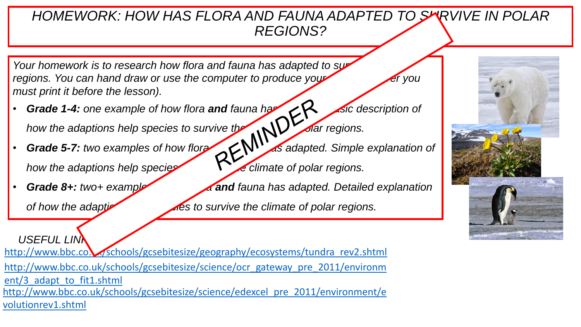## *HOMEWORK: HOW HAS FLORA AND FAUNA ADAPTED TO SURVIVE IN POLAR REGIONS?*

*Your homework is to research how flora and fauna has adapted to sure regions. You can hand draw or use the computer to produce your must print it before the lesson).*

- **Grade 1-4:** one example of how flora **and** fauna has **Basic description of** how the adaptions help species to survive the case of polar regions.<br>Grade 5-7: two examples of the polar polar polar regions.
- **Grade 5-7:** *two examples of how flora fault of a faulted. Simple explanation of how the adaptions help species* to survive *the climate of polar regions.*
- 

**Grade 8+:** *two+ example of and fauna has adapted. Detailed explanation* 

*of how the adapticulary species to survive the climate of polar regions.* 

USEFUL LIN**N** [http://www.bbc.co.uk/schools/gcsebitesize/geography/ecosystems/tundra\\_rev2.shtml](http://www.bbc.co.uk/schools/gcsebitesize/geography/ecosystems/tundra_rev2.shtml) [http://www.bbc.co.uk/schools/gcsebitesize/science/ocr\\_gateway\\_pre\\_2011/environm](http://www.bbc.co.uk/schools/gcsebitesize/science/ocr_gateway_pre_2011/environment/3_adapt_to_fit1.shtml) ent/3 adapt to fit1.shtml [http://www.bbc.co.uk/schools/gcsebitesize/science/edexcel\\_pre\\_2011/environment/e](http://www.bbc.co.uk/schools/gcsebitesize/science/edexcel_pre_2011/environment/evolutionrev1.shtml) volutionrev1.shtml

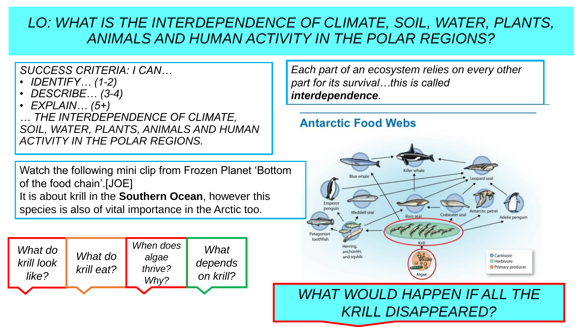*SUCCESS CRITERIA: I CAN…*

- *IDENTIFY… (1-2)*
- *DESCRIBE… (3-4)*

• *EXPLAIN… (5+) … THE INTERDEPENDENCE OF CLIMATE, SOIL, WATER, PLANTS, ANIMALS AND HUMAN ACTIVITY IN THE POLAR REGIONS.*

Watch the following mini clip from Frozen Planet 'Bottom of the food chain'.[JOE]

It is about krill in the **Southern Ocean**, however this species is also of vital importance in the Arctic too.



*Each part of an ecosystem relies on every other part for its survival…this is called interdependence.*

## **Antarctic Food Webs**



# *WHAT WOULD HAPPEN IF ALL THE KRILL DISAPPEARED?*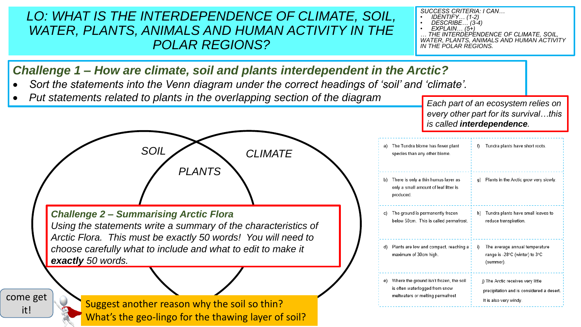*SUCCESS CRITERIA: I CAN…*

- *IDENTIFY… (1-2)*
- *DESCRIBE… (3-4)*

• *EXPLAIN… (5+) … THE INTERDEPENDENCE OF CLIMATE, SOIL, WATER, PLANTS, ANIMALS AND HUMAN ACTIVITY IN THE POLAR REGIONS.*

## *Challenge 1 – How are climate, soil and plants interdependent in the Arctic?*

- *Sort the statements into the Venn diagram under the correct headings of 'soil' and 'climate'.*
- **Put statements related to plants in the overlapping section of the diagram** *Each part of an ecosystem relies on*

*PLANTS*

*SOIL CLIMATE*

*Challenge 2 – Summarising Arctic Flora Using the statements write a summary of the characteristics of Arctic Flora. This must be exactly 50 words! You will need to choose carefully what to include and what to edit to make it exactly 50 words.* 

come get it!

Suggest another reason why the soil so thin? What's the geo-lingo for the thawing layer of soil? *every other part for its survival…this is called interdependence.*

| a) | The Tundra biome has fewer plant<br>species than any other biome.                                             | Tundra plants have short roots.<br>f)                                                                     |
|----|---------------------------------------------------------------------------------------------------------------|-----------------------------------------------------------------------------------------------------------|
| b) | There is only a thin humus layer as<br>only a small amount of leaf litter is<br>produced.                     | Plants in the Arctic grow very slowly.<br>g)                                                              |
| c) | The ground is permanently frozen<br>below 50cm. This is called permafrost.                                    | Tundra plants have small leaves to<br>h)<br>reduce transpiration.                                         |
| d) | Plants are low and compact, reaching a<br>maximum of 30cm high.                                               | The average annual temperature<br>i)<br>range is -28°C (winter) to 3°C<br>(summer).                       |
| e) | Where the ground isn't frozen, the soil<br>is often waterlogged from snow<br>meltwaters or melting permafrost | j) The Arctic receives very little<br>precipitation and is considered a desert.<br>It is also very windy. |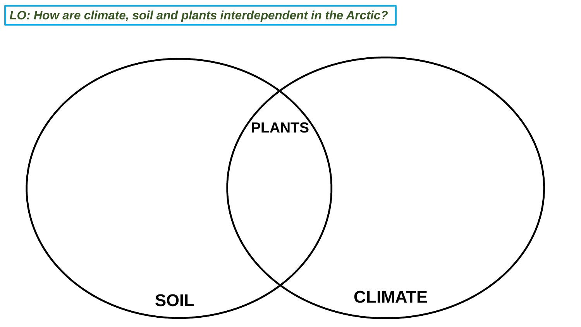*LO: How are climate, soil and plants interdependent in the Arctic?*

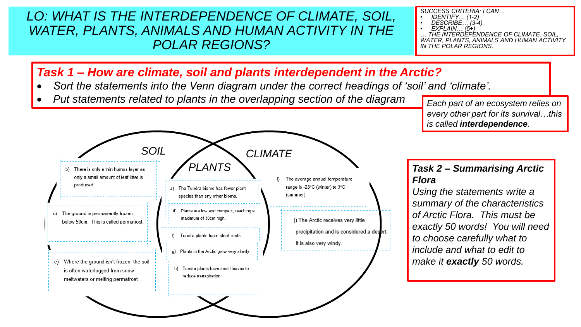*SUCCESS CRITERIA: I CAN…*

- *IDENTIFY… (1-2)*
- *DESCRIBE… (3-4)*

• *EXPLAIN… (5+) … THE INTERDEPENDENCE OF CLIMATE, SOIL, WATER, PLANTS, ANIMALS AND HUMAN ACTIVITY IN THE POLAR REGIONS.*

## *Task 1 – How are climate, soil and plants interdependent in the Arctic?*

- *Sort the statements into the Venn diagram under the correct headings of 'soil' and 'climate'.*
- Put statements related to plants in the overlapping section of the diagram *Each part of an ecosystem relies on*

*every other part for its survival…this is called interdependence.*



# *Flora*

*Using the statements write a summary of the characteristics of Arctic Flora. This must be exactly 50 words! You will need to choose carefully what to include and what to edit to make it exactly 50 words.*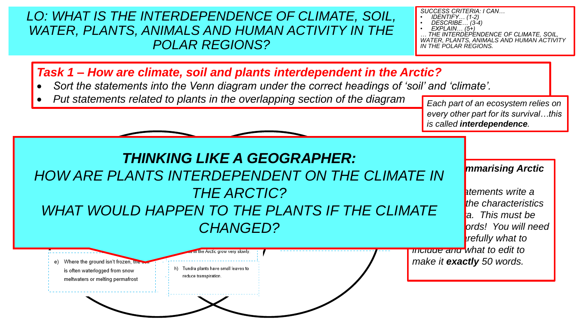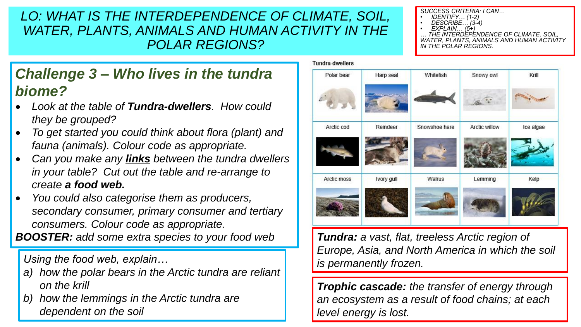# *Challenge 3 – Who lives in the tundra biome?*

- *Look at the table of Tundra-dwellers. How could they be grouped?*
- *To get started you could think about flora (plant) and fauna (animals). Colour code as appropriate.*
- *Can you make any links between the tundra dwellers in your table? Cut out the table and re-arrange to create a food web.*
- *You could also categorise them as producers, secondary consumer, primary consumer and tertiary consumers. Colour code as appropriate.*

*BOOSTER: add some extra species to your food web*

*Using the food web, explain…*

- *a) how the polar bears in the Arctic tundra are reliant on the krill*
- *b) how the lemmings in the Arctic tundra are dependent on the soil*

#### *SUCCESS CRITERIA: I CAN…*

- *IDENTIFY… (1-2)*
- *DESCRIBE… (3-4)*
- *EXPLAIN… (5+)*

*… THE INTERDEPENDENCE OF CLIMATE, SOIL, WATER, PLANTS, ANIMALS AND HUMAN ACTIVITY IN THE POLAR REGIONS.*

| Polar bear  | Harp seal  | Whitefish     | Snowy owl     | Krill     |
|-------------|------------|---------------|---------------|-----------|
|             |            |               |               |           |
| Arctic cod  | Reindeer   | Snowshoe hare | Arctic willow | Ice algae |
|             |            |               |               |           |
| Arctic moss | Ivory gull | Walrus        | Lemming       | Kelp      |
|             |            |               |               |           |

*Tundra: a vast, flat, treeless Arctic region of Europe, Asia, and North America in which the soil is permanently frozen.*

*Trophic cascade: the transfer of energy through an ecosystem as a result of food chains; at each level energy is lost.*

### **Tundra-dwellers**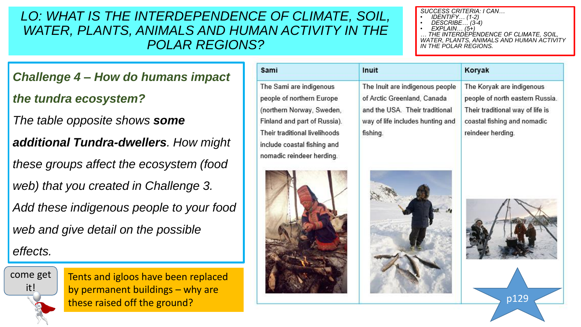#### *SUCCESS CRITERIA: I CAN…*

- *IDENTIFY… (1-2)*
- *DESCRIBE… (3-4)*
- *EXPLAIN… (5+) … THE INTERDEPENDENCE OF CLIMATE, SOIL, WATER, PLANTS, ANIMALS AND HUMAN ACTIVITY IN THE POLAR REGIONS.*

Koryak

*Challenge 4 – How do humans impact* 

### *the tundra ecosystem?*

*The table opposite shows some* 

*additional Tundra-dwellers. How might* 

*these groups affect the ecosystem (food* 

*web) that you created in Challenge 3.* 

*Add these indigenous people to your food* 

*web and give detail on the possible* 

## *effects.*



Tents and igloos have been replaced by permanent buildings – why are these raised off the ground?

| The Sami are indigenous          |
|----------------------------------|
| people of northern Europe        |
| (northern Norway, Sweden,        |
| Finland and part of Russia).     |
| Their traditional livelihoods    |
| include coastal fishing and<br>ł |
| nomadic reindeer herding.        |

Sami



The Inuit are indigenous people of Arctic Greenland, Canada and the USA. Their traditional way of life includes hunting and fishing.

Inuit

The Koryak are indigenous people of north eastern Russia. Their traditional way of life is coastal fishing and nomadic reindeer herding.





p129